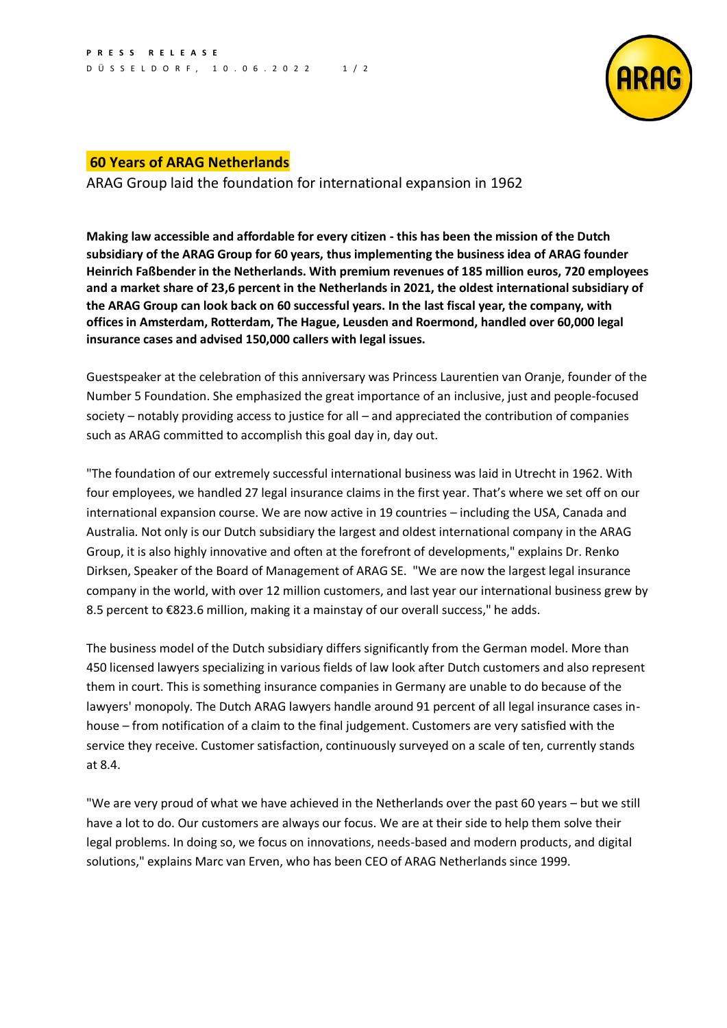

## **60 Years of ARAG Netherlands**

ARAG Group laid the foundation for international expansion in 1962

**Making law accessible and affordable for every citizen - this has been the mission of the Dutch subsidiary of the ARAG Group for 60 years, thus implementing the business idea of ARAG founder Heinrich Faßbender in the Netherlands. With premium revenues of 185 million euros, 720 employees and a market share of 23,6 percent in the Netherlands in 2021, the oldest international subsidiary of the ARAG Group can look back on 60 successful years. In the last fiscal year, the company, with offices in Amsterdam, Rotterdam, The Hague, Leusden and Roermond, handled over 60,000 legal insurance cases and advised 150,000 callers with legal issues.**

Guestspeaker at the celebration of this anniversary was Princess Laurentien van Oranje, founder of the Number 5 Foundation. She emphasized the great importance of an inclusive, just and people-focused society – notably providing access to justice for all – and appreciated the contribution of companies such as ARAG committed to accomplish this goal day in, day out.

"The foundation of our extremely successful international business was laid in Utrecht in 1962. With four employees, we handled 27 legal insurance claims in the first year. That's where we set off on our international expansion course. We are now active in 19 countries – including the USA, Canada and Australia. Not only is our Dutch subsidiary the largest and oldest international company in the ARAG Group, it is also highly innovative and often at the forefront of developments," explains Dr. Renko Dirksen, Speaker of the Board of Management of ARAG SE. "We are now the largest legal insurance company in the world, with over 12 million customers, and last year our international business grew by 8.5 percent to €823.6 million, making it a mainstay of our overall success," he adds.

The business model of the Dutch subsidiary differs significantly from the German model. More than 450 licensed lawyers specializing in various fields of law look after Dutch customers and also represent them in court. This is something insurance companies in Germany are unable to do because of the lawyers' monopoly. The Dutch ARAG lawyers handle around 91 percent of all legal insurance cases inhouse – from notification of a claim to the final judgement. Customers are very satisfied with the service they receive. Customer satisfaction, continuously surveyed on a scale of ten, currently stands at 8.4.

"We are very proud of what we have achieved in the Netherlands over the past 60 years – but we still have a lot to do. Our customers are always our focus. We are at their side to help them solve their legal problems. In doing so, we focus on innovations, needs-based and modern products, and digital solutions," explains Marc van Erven, who has been CEO of ARAG Netherlands since 1999.